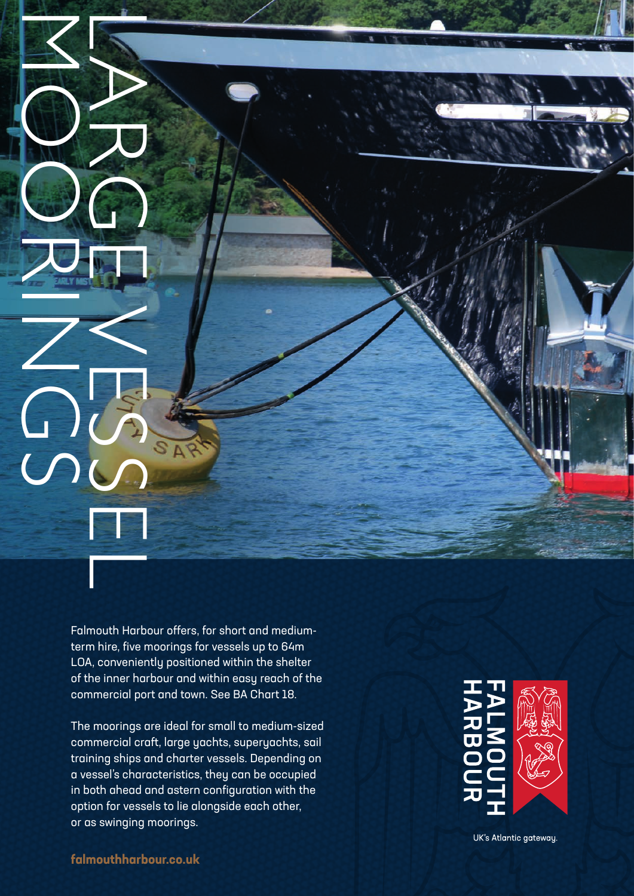Falmouth Harbour offers, for short and mediumterm hire, five moorings for vessels up to 64m LOA, conveniently positioned within the shelter of the inner harbour and within easy reach of the commercial port and town. See BA Chart 18.

The moorings are ideal for small to medium-sized commercial craft, large yachts, superyachts, sail training ships and charter vessels. Depending on a vessel's characteristics, they can be occupied in both ahead and astern configuration with the option for vessels to lie alongside each other, **Explicit Software School School School**<br>The moorings are ideal for the inner harbour offers.<br>The moorings are ideal for the inner harbour offers.<br>The moorings are ideal for the inner harbour and<br>commercial pot and tow<br>tro



UK's Atlantic gateway.

**falmouthharbour.co.uk**